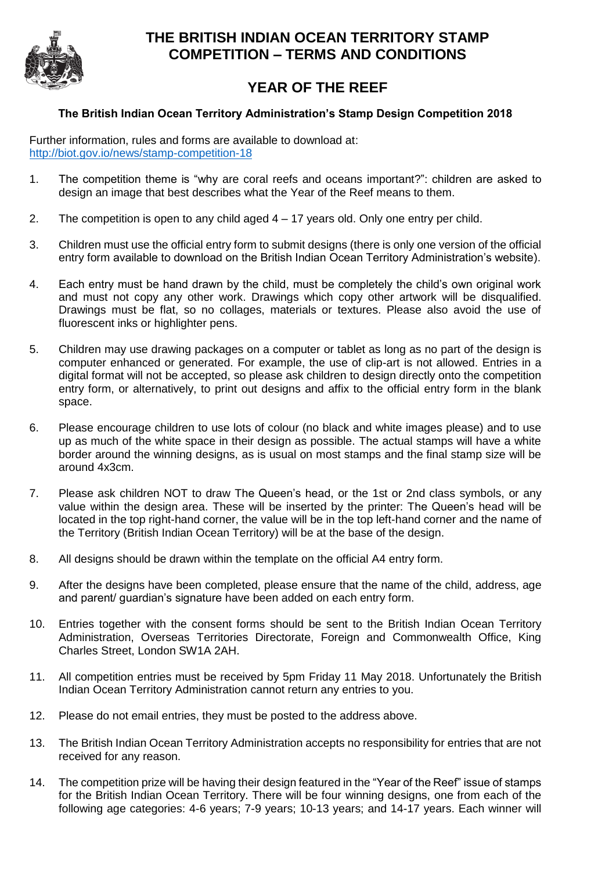

## **THE BRITISH INDIAN OCEAN TERRITORY STAMP COMPETITION – TERMS AND CONDITIONS**

## **YEAR OF THE REEF**

## **The British Indian Ocean Territory Administration's Stamp Design Competition 2018**

Further information, rules and forms are available to download at: <http://biot.gov.io/news/stamp-competition-18>

- 1. The competition theme is "why are coral reefs and oceans important?": children are asked to design an image that best describes what the Year of the Reef means to them.
- 2. The competition is open to any child aged 4 17 years old. Only one entry per child.
- 3. Children must use the official entry form to submit designs (there is only one version of the official entry form available to download on the British Indian Ocean Territory Administration's website).
- 4. Each entry must be hand drawn by the child, must be completely the child's own original work and must not copy any other work. Drawings which copy other artwork will be disqualified. Drawings must be flat, so no collages, materials or textures. Please also avoid the use of fluorescent inks or highlighter pens.
- 5. Children may use drawing packages on a computer or tablet as long as no part of the design is computer enhanced or generated. For example, the use of clip-art is not allowed. Entries in a digital format will not be accepted, so please ask children to design directly onto the competition entry form, or alternatively, to print out designs and affix to the official entry form in the blank space.
- 6. Please encourage children to use lots of colour (no black and white images please) and to use up as much of the white space in their design as possible. The actual stamps will have a white border around the winning designs, as is usual on most stamps and the final stamp size will be around 4x3cm.
- 7. Please ask children NOT to draw The Queen's head, or the 1st or 2nd class symbols, or any value within the design area. These will be inserted by the printer: The Queen's head will be located in the top right-hand corner, the value will be in the top left-hand corner and the name of the Territory (British Indian Ocean Territory) will be at the base of the design.
- 8. All designs should be drawn within the template on the official A4 entry form.
- 9. After the designs have been completed, please ensure that the name of the child, address, age and parent/ guardian's signature have been added on each entry form.
- 10. Entries together with the consent forms should be sent to the British Indian Ocean Territory Administration, Overseas Territories Directorate, Foreign and Commonwealth Office, King Charles Street, London SW1A 2AH.
- 11. All competition entries must be received by 5pm Friday 11 May 2018. Unfortunately the British Indian Ocean Territory Administration cannot return any entries to you.
- 12. Please do not email entries, they must be posted to the address above.
- 13. The British Indian Ocean Territory Administration accepts no responsibility for entries that are not received for any reason.
- 14. The competition prize will be having their design featured in the "Year of the Reef" issue of stamps for the British Indian Ocean Territory. There will be four winning designs, one from each of the following age categories: 4-6 years; 7-9 years; 10-13 years; and 14-17 years. Each winner will